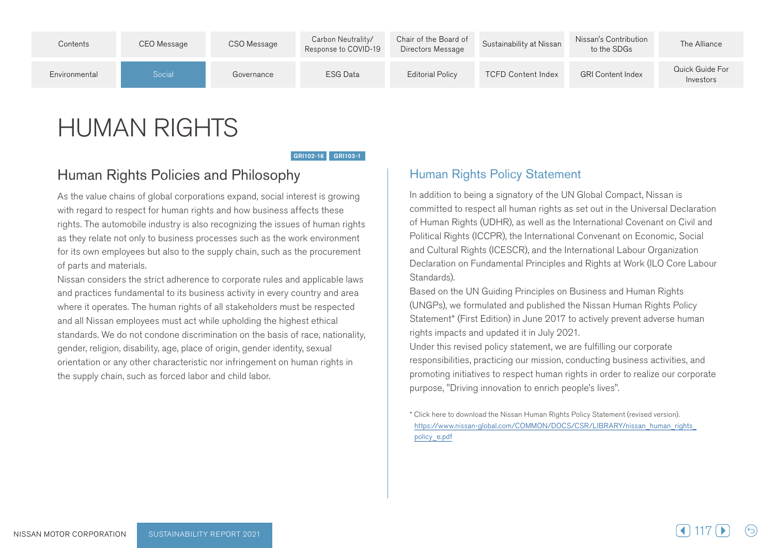

# **HUMAN RIGHTS**

GRI102-16 GRI103-1

### Human Rights Policies and Philosophy

As the value chains of global corporations expand, social interest is growing with regard to respect for human rights and how business affects these rights. The automobile industry is also recognizing the issues of human rights as they relate not only to business processes such as the work environment for its own employees but also to the supply chain, such as the procurement of parts and materials.

Nissan considers the strict adherence to corporate rules and applicable laws and practices fundamental to its business activity in every country and area where it operates. The human rights of all stakeholders must be respected and all Nissan employees must act while upholding the highest ethical standards. We do not condone discrimination on the basis of race, nationality, gender, religion, disability, age, place of origin, gender identity, sexual orientation or any other characteristic nor infringement on human rights in the supply chain, such as forced labor and child labor.

### **Human Rights Policy Statement**

In addition to being a signatory of the UN Global Compact, Nissan is committed to respect all human rights as set out in the Universal Declaration of Human Rights (UDHR), as well as the International Covenant on Civil and Political Rights (ICCPR), the International Convenant on Economic, Social and Cultural Rights (ICESCR), and the International Labour Organization Declaration on Fundamental Principles and Rights at Work (ILO Core Labour Standards).

Based on the UN Guiding Principles on Business and Human Rights (UNGPs), we formulated and published the Nissan Human Rights Policy Statement\* (First Edition) in June 2017 to actively prevent adverse human rights impacts and updated it in July 2021.

Under this revised policy statement, we are fulfilling our corporate responsibilities, practicing our mission, conducting business activities, and promoting initiatives to respect human rights in order to realize our corporate purpose, "Driving innovation to enrich people's lives".

\* Click here to download the Nissan Human Rights Policy Statement (revised version). https://www.nissan-qlobal.com/COMMON/DOCS/CSR/LIBRARY/nissan\_human\_rights policy e.pdf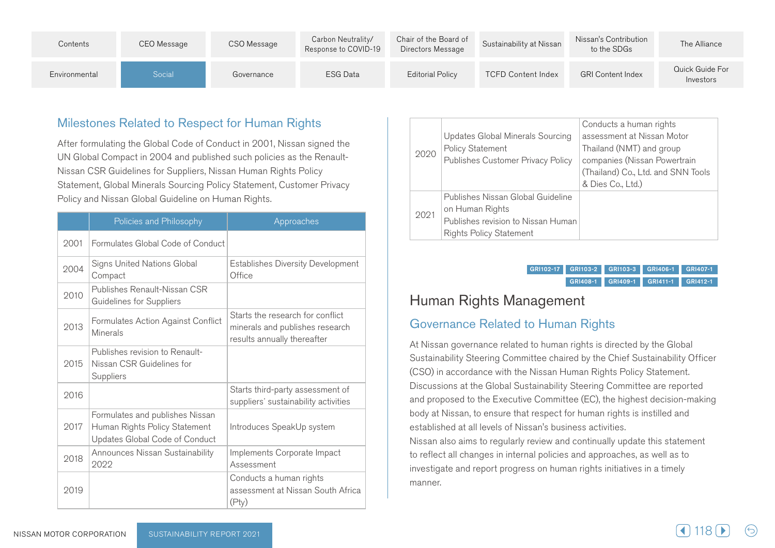| Contents      | CEO Message | CSO Message | Carbon Neutrality/<br>Response to COVID-19 | Chair of the Board of<br>Directors Message | Sustainability at Nissan  | Nissan's Contribution<br>to the SDGs | The Alliance                 |
|---------------|-------------|-------------|--------------------------------------------|--------------------------------------------|---------------------------|--------------------------------------|------------------------------|
| Environmental | Social      | Governance  | <b>ESG Data</b>                            | <b>Editorial Policy</b>                    | <b>TCFD Content Index</b> | <b>GRI Content Index</b>             | Quick Guide For<br>Investors |

### Milestones Related to Respect for Human Rights

After formulating the Global Code of Conduct in 2001, Nissan signed the Nissan CSR Guidelines for Suppliers, Nissan Human Rights Policy UN Global Compact in 2004 and published such policies as the Renault-Statement, Global Minerals Sourcing Policy Statement, Customer Privacy Policy and Nissan Global Guideline on Human Rights.

|      | Policies and Philosophy                                                                            | Approaches                                                                                         |
|------|----------------------------------------------------------------------------------------------------|----------------------------------------------------------------------------------------------------|
| 2001 | Formulates Global Code of Conduct                                                                  |                                                                                                    |
| 2004 | Signs United Nations Global<br>Compact                                                             | <b>Establishes Diversity Development</b><br>Office                                                 |
| 2010 | Publishes Renault-Nissan CSR<br><b>Guidelines for Suppliers</b>                                    |                                                                                                    |
| 2013 | Formulates Action Against Conflict<br>Minerals                                                     | Starts the research for conflict<br>minerals and publishes research<br>results annually thereafter |
| 2015 | Publishes revision to Renault-<br>Nissan CSR Guidelines for<br>Suppliers                           |                                                                                                    |
| 2016 |                                                                                                    | Starts third-party assessment of<br>suppliers' sustainability activities                           |
| 2017 | Formulates and publishes Nissan<br>Human Rights Policy Statement<br>Updates Global Code of Conduct | Introduces SpeakUp system                                                                          |
| 2018 | Announces Nissan Sustainability<br>2022                                                            | Implements Corporate Impact<br>Assessment                                                          |
| 2019 |                                                                                                    | Conducts a human rights<br>assessment at Nissan South Africa<br>(Pty)                              |

| 2020 | Updates Global Minerals Sourcing<br>Policy Statement<br>Publishes Customer Privacy Policy                                    | Conducts a human rights<br>assessment at Nissan Motor<br>Thailand (NMT) and group<br>companies (Nissan Powertrain<br>(Thailand) Co., Ltd. and SNN Tools<br>& Dies Co., Ltd.) |
|------|------------------------------------------------------------------------------------------------------------------------------|------------------------------------------------------------------------------------------------------------------------------------------------------------------------------|
| 2021 | Publishes Nissan Global Guideline<br>on Human Rights<br>Publishes revision to Nissan Human<br><b>Rights Policy Statement</b> |                                                                                                                                                                              |

GRI102-17 GRI103-2 GRI103-3 GRI406-1 GRI407-1 GRI408-1 GRI409-1 GRI411-1 GRI412-1

# Human Rights Management

### **Governance Related to Human Rights**

At Nissan governance related to human rights is directed by the Global Sustainability Steering Committee chaired by the Chief Sustainability Officer (CSO) in accordance with the Nissan Human Rights Policy Statement. Discussions at the Global Sustainability Steering Committee are reported and proposed to the Executive Committee (EC), the highest decision-making body at Nissan, to ensure that respect for human rights is instilled and established at all levels of Nissan's business activities.

Nissan also aims to regularly review and continually update this statement to reflect all changes in internal policies and approaches, as well as to investigate and report progress on human rights initiatives in a timely .manner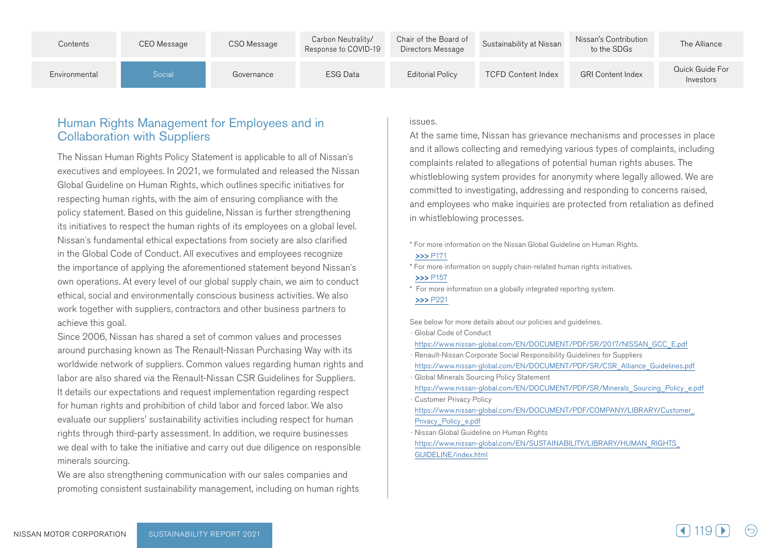| Contents      | CEO Message | CSO Message | Carbon Neutrality/<br>Response to COVID-19 | Chair of the Board of<br>Directors Message | Sustainability at Nissan  | Nissan's Contribution<br>to the SDGs | The Alliance                 |
|---------------|-------------|-------------|--------------------------------------------|--------------------------------------------|---------------------------|--------------------------------------|------------------------------|
| Environmental | Social      | Governance  | ESG Data                                   | <b>Editorial Policy</b>                    | <b>TCFD Content Index</b> | <b>GRI Content Index</b>             | Quick Guide For<br>Investors |

### Human Rights Management for Employees and in **Collaboration with Suppliers**

The Nissan Human Rights Policy Statement is applicable to all of Nissan's executives and employees. In 2021, we formulated and released the Nissan Global Guideline on Human Rights, which outlines specific initiatives for respecting human rights, with the aim of ensuring compliance with the policy statement. Based on this quideline, Nissan is further strengthening its initiatives to respect the human rights of its employees on a global level. Nissan's fundamental ethical expectations from society are also clarified in the Global Code of Conduct. All executives and employees recognize the importance of applying the aforementioned statement beyond Nissan's own operations. At every level of our global supply chain, we aim to conduct ethical, social and environmentally conscious business activities. We also work together with suppliers, contractors and other business partners to achieve this goal.

Since 2006, Nissan has shared a set of common values and processes around purchasing known as The Renault-Nissan Purchasing Way with its worldwide network of suppliers. Common values regarding human rights and labor are also shared via the Renault-Nissan CSR Guidelines for Suppliers. It details our expectations and request implementation regarding respect for human rights and prohibition of child labor and forced labor. We also evaluate our suppliers' sustainability activities including respect for human rights through third-party assessment. In addition, we require businesses we deal with to take the initiative and carry out due diligence on responsible minerals sourcing.

We are also strengthening communication with our sales companies and promoting consistent sustainability management, including on human rights

#### .issues

At the same time, Nissan has grievance mechanisms and processes in place and it allows collecting and remedying various types of complaints, including complaints related to allegations of potential human rights abuses. The whistleblowing system provides for anonymity where legally allowed. We are committed to investigating, addressing and responding to concerns raised, and employees who make inquiries are protected from retaliation as defined in whistleblowing processes.

\* For more information on the Nissan Global Guideline on Human Rights.

#### $555$  P171

\* For more information on supply chain-related human rights initiatives. **>>>**P157

\* For more information on a globally integrated reporting system.

#### $>>$  P221

See below for more details about our policies and quidelines.

**Global Code of Conduct** 

https://www.nissan-global.com/FN/DOCUMENT/PDF/SR/2017/NISSAN\_GCC\_E.pdf

- Renault-Nissan Corporate Social Responsibility Guidelines for Suppliers
- https://www.nissan-global.com/EN/DOCUMENT/PDF/SR/CSR\_Alliance\_Guidelines.pdf

**Global Minerals Sourcing Policy Statement** 

https://www.nissan-global.com/EN/DOCUMENT/PDF/SR/Minerals Sourcing Policy e.pdf

**Customer Privacy Policy** 

https://www.nissan-global.com/EN/DOCUMENT/PDF/COMPANY/LIBRARY/Customer Privacy Policy e.pdf

Nissan Global Guideline on Human Rights

https://www.nissan-global.com/EN/SUSTAINABILITY/LIBRARY/HUMAN\_RIGHTS GUIDELINE/index.html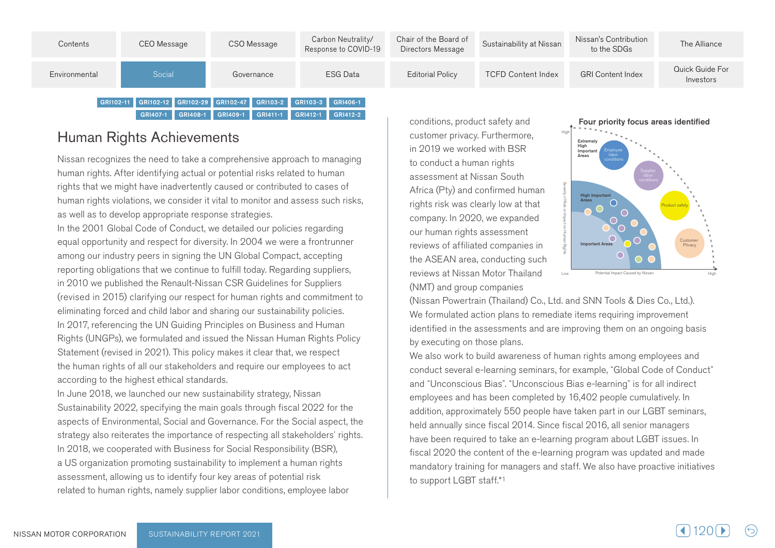

# Human Rights Achievements

Nissan recognizes the need to take a comprehensive approach to managing human rights. After identifying actual or potential risks related to human rights that we might have inadvertently caused or contributed to cases of human rights violations, we consider it vital to monitor and assess such risks. as well as to develop appropriate response strategies.

In the 2001 Global Code of Conduct, we detailed our policies regarding equal opportunity and respect for diversity. In 2004 we were a frontrunner among our industry peers in signing the UN Global Compact, accepting reporting obligations that we continue to fulfill today. Regarding suppliers, in 2010 we published the Renault-Nissan CSR Guidelines for Suppliers (revised in 2015) clarifying our respect for human rights and commitment to eliminating forced and child labor and sharing our sustainability policies. In 2017, referencing the UN Guiding Principles on Business and Human Rights (UNGPs), we formulated and issued the Nissan Human Rights Policy Statement (revised in 2021). This policy makes it clear that, we respect the human rights of all our stakeholders and require our employees to act according to the highest ethical standards.

In June 2018, we launched our new sustainability strategy, Nissan Sustainability 2022, specifying the main goals through fiscal 2022 for the aspects of Environmental, Social and Governance. For the Social aspect, the strategy also reiterates the importance of respecting all stakeholders' rights. In 2018, we cooperated with Business for Social Responsibility (BSR), a US organization promoting sustainability to implement a human rights assessment, allowing us to identify four key areas of potential risk related to human rights, namely supplier labor conditions, employee labor

conditions, product safety and customer privacy. Furthermore, in 2019 we worked with BSR to conduct a human rights assessment at Nissan South Africa (Pty) and confirmed human rights risk was clearly low at that company. In 2020, we expanded our human rights assessment reviews of affiliated companies in the ASEAN area, conducting such reviews at Nissan Motor Thailand (NMT) and group companies



(Nissan Powertrain (Thailand) Co., Ltd. and SNN Tools & Dies Co., Ltd.). We formulated action plans to remediate items requiring improvement identified in the assessments and are improving them on an ongoing basis by executing on those plans.

We also work to build awareness of human rights among employees and conduct several e-learning seminars, for example, "Global Code of Conduct" and "Unconscious Bias". "Unconscious Bias e-learning" is for all indirect employees and has been completed by 16,402 people cumulatively. In addition, approximately 550 people have taken part in our LGBT seminars, held annually since fiscal 2014. Since fiscal 2016, all senior managers have been required to take an e-learning program about LGBT issues. In fiscal 2020 the content of the e-learning program was updated and made mandatory training for managers and staff. We also have proactive initiatives to support LGBT staff.\*1